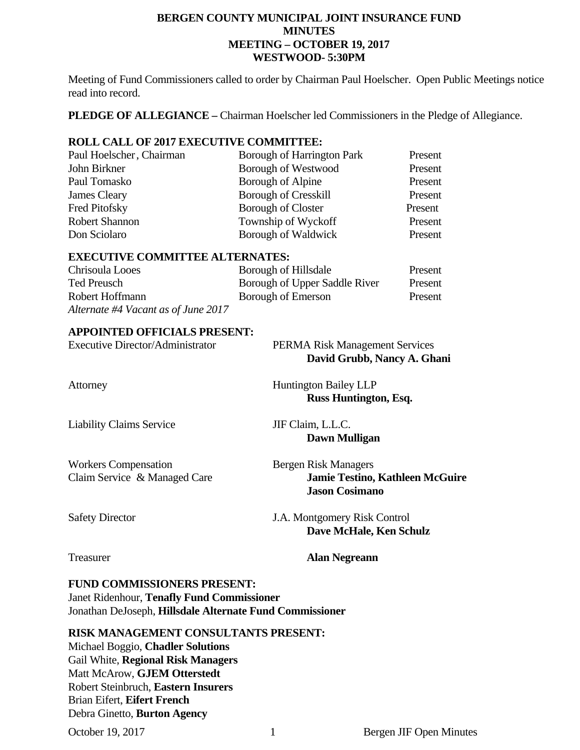# **BERGEN COUNTY MUNICIPAL JOINT INSURANCE FUND MINUTES MEETING – OCTOBER 19, 2017 WESTWOOD- 5:30PM**

Meeting of Fund Commissioners called to order by Chairman Paul Hoelscher. Open Public Meetings notice read into record.

**PLEDGE OF ALLEGIANCE –** Chairman Hoelscher led Commissioners in the Pledge of Allegiance.

# **ROLL CALL OF 2017 EXECUTIVE COMMITTEE:**

| Paul Hoelscher, Chairman | <b>Borough of Harrington Park</b> | Present |
|--------------------------|-----------------------------------|---------|
| John Birkner             | <b>Borough of Westwood</b>        | Present |
| Paul Tomasko             | Borough of Alpine                 | Present |
| James Cleary             | <b>Borough of Cresskill</b>       | Present |
| Fred Pitofsky            | <b>Borough of Closter</b>         | Present |
| Robert Shannon           | Township of Wyckoff               | Present |
| Don Sciolaro             | Borough of Waldwick               | Present |

# **EXECUTIVE COMMITTEE ALTERNATES:**

| Chrisoula Looes                     | Borough of Hillsdale          | Present |
|-------------------------------------|-------------------------------|---------|
| Ted Preusch                         | Borough of Upper Saddle River | Present |
| Robert Hoffmann                     | Borough of Emerson            | Present |
| Alternate #4 Vacant as of June 2017 |                               |         |

# **APPOINTED OFFICIALS PRESENT:**

| <b>Executive Director/Administrator</b> | <b>PERMA Risk Management Services</b><br>David Grubb, Nancy A. Ghani |
|-----------------------------------------|----------------------------------------------------------------------|
| Attorney                                | <b>Huntington Bailey LLP</b><br>Russ Huntington, Esq.                |
| <b>Liability Claims Service</b>         | JIF Claim, L.L.C.                                                    |

Workers Compensation<br>
Claim Service & Managed Care<br> **Bergen Risk Managers**<br> **Gravice & Managed Care<br>
Bergen Risk Managers<br>
<b>Jamie Testino,** 

**Jamie Testino, Kathleen McGuire Jason Cosimano** 

Safety Director J.A. Montgomery Risk Control  **Dave McHale, Ken Schulz** 

Treasurer **Alan Negreann** 

**Dawn Mulligan** 

**FUND COMMISSIONERS PRESENT:**  Janet Ridenhour, **Tenafly Fund Commissioner**  Jonathan DeJoseph, **Hillsdale Alternate Fund Commissioner** 

# **RISK MANAGEMENT CONSULTANTS PRESENT:**

Michael Boggio, **Chadler Solutions**  Gail White, **Regional Risk Managers**  Matt McArow, **GJEM Otterstedt**  Robert Steinbruch, **Eastern Insurers**  Brian Eifert, **Eifert French**  Debra Ginetto, **Burton Agency**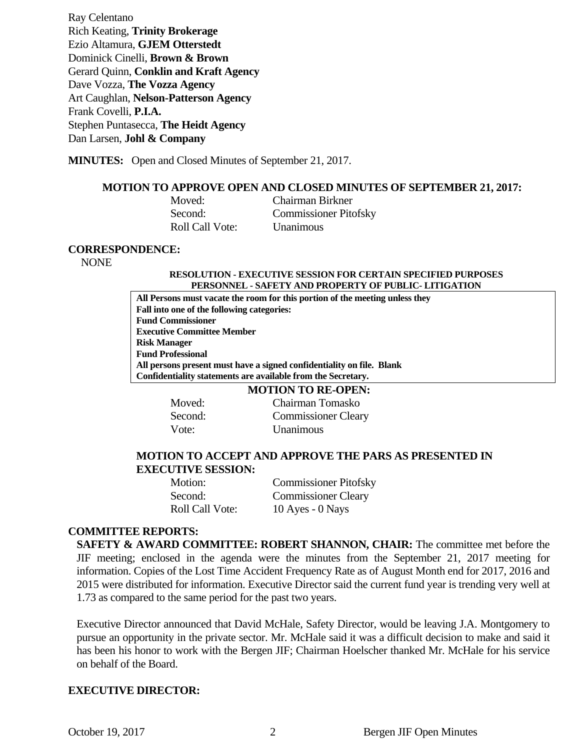Ray Celentano Rich Keating, **Trinity Brokerage**  Ezio Altamura, **GJEM Otterstedt**  Dominick Cinelli, **Brown & Brown** Gerard Quinn, **Conklin and Kraft Agency**  Dave Vozza, **The Vozza Agency** Art Caughlan, **Nelson-Patterson Agency**  Frank Covelli, **P.I.A.**  Stephen Puntasecca, **The Heidt Agency** Dan Larsen, **Johl & Company**

**MINUTES:** Open and Closed Minutes of September 21, 2017.

### **MOTION TO APPROVE OPEN AND CLOSED MINUTES OF SEPTEMBER 21, 2017:**

Roll Call Vote: Unanimous

**Moved:** Chairman Birkner Second: Commissioner Pitofsky

#### **CORRESPONDENCE:**

NONE

#### **RESOLUTION - EXECUTIVE SESSION FOR CERTAIN SPECIFIED PURPOSES PERSONNEL - SAFETY AND PROPERTY OF PUBLIC- LITIGATION**

**All Persons must vacate the room for this portion of the meeting unless they Fall into one of the following categories: Fund Commissioner Executive Committee Member Risk Manager Fund Professional All persons present must have a signed confidentiality on file. Blank Confidentiality statements are available from the Secretary.** 

### **MOTION TO RE-OPEN:**

**Moved:** Chairman Tomasko Second: Commissioner Cleary Vote: Unanimous

# **MOTION TO ACCEPT AND APPROVE THE PARS AS PRESENTED IN EXECUTIVE SESSION:**

| Motion:                | <b>Commissioner Pitofsky</b> |
|------------------------|------------------------------|
| Second:                | <b>Commissioner Cleary</b>   |
| <b>Roll Call Vote:</b> | 10 Ayes - $0$ Nays           |

# **COMMITTEE REPORTS:**

**SAFETY & AWARD COMMITTEE: ROBERT SHANNON, CHAIR:** The committee met before the JIF meeting; enclosed in the agenda were the minutes from the September 21, 2017 meeting for information. Copies of the Lost Time Accident Frequency Rate as of August Month end for 2017, 2016 and 2015 were distributed for information. Executive Director said the current fund year is trending very well at 1.73 as compared to the same period for the past two years.

Executive Director announced that David McHale, Safety Director, would be leaving J.A. Montgomery to pursue an opportunity in the private sector. Mr. McHale said it was a difficult decision to make and said it has been his honor to work with the Bergen JIF; Chairman Hoelscher thanked Mr. McHale for his service on behalf of the Board.

# **EXECUTIVE DIRECTOR:**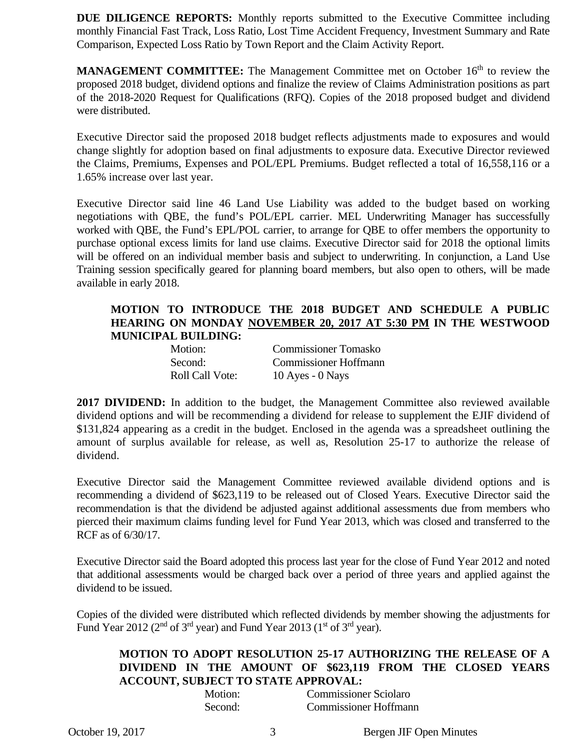**DUE DILIGENCE REPORTS:** Monthly reports submitted to the Executive Committee including monthly Financial Fast Track, Loss Ratio, Lost Time Accident Frequency, Investment Summary and Rate Comparison, Expected Loss Ratio by Town Report and the Claim Activity Report.

**MANAGEMENT COMMITTEE:** The Management Committee met on October 16<sup>th</sup> to review the proposed 2018 budget, dividend options and finalize the review of Claims Administration positions as part of the 2018-2020 Request for Qualifications (RFQ). Copies of the 2018 proposed budget and dividend were distributed.

Executive Director said the proposed 2018 budget reflects adjustments made to exposures and would change slightly for adoption based on final adjustments to exposure data. Executive Director reviewed the Claims, Premiums, Expenses and POL/EPL Premiums. Budget reflected a total of 16,558,116 or a 1.65% increase over last year.

Executive Director said line 46 Land Use Liability was added to the budget based on working negotiations with QBE, the fund's POL/EPL carrier. MEL Underwriting Manager has successfully worked with QBE, the Fund's EPL/POL carrier, to arrange for QBE to offer members the opportunity to purchase optional excess limits for land use claims. Executive Director said for 2018 the optional limits will be offered on an individual member basis and subject to underwriting. In conjunction, a Land Use Training session specifically geared for planning board members, but also open to others, will be made available in early 2018.

# **MOTION TO INTRODUCE THE 2018 BUDGET AND SCHEDULE A PUBLIC HEARING ON MONDAY NOVEMBER 20, 2017 AT 5:30 PM IN THE WESTWOOD MUNICIPAL BUILDING:**

| Motion:         | <b>Commissioner Tomasko</b>  |
|-----------------|------------------------------|
| Second:         | <b>Commissioner Hoffmann</b> |
| Roll Call Vote: | $10$ Ayes - $0$ Nays         |

**2017 DIVIDEND:** In addition to the budget, the Management Committee also reviewed available dividend options and will be recommending a dividend for release to supplement the EJIF dividend of \$131,824 appearing as a credit in the budget. Enclosed in the agenda was a spreadsheet outlining the amount of surplus available for release, as well as, Resolution 25-17 to authorize the release of dividend.

Executive Director said the Management Committee reviewed available dividend options and is recommending a dividend of \$623,119 to be released out of Closed Years. Executive Director said the recommendation is that the dividend be adjusted against additional assessments due from members who pierced their maximum claims funding level for Fund Year 2013, which was closed and transferred to the RCF as of 6/30/17.

Executive Director said the Board adopted this process last year for the close of Fund Year 2012 and noted that additional assessments would be charged back over a period of three years and applied against the dividend to be issued.

Copies of the divided were distributed which reflected dividends by member showing the adjustments for Fund Year 2012 ( $2<sup>nd</sup>$  of  $3<sup>rd</sup>$  year) and Fund Year 2013 ( $1<sup>st</sup>$  of  $3<sup>rd</sup>$  year).

# **MOTION TO ADOPT RESOLUTION 25-17 AUTHORIZING THE RELEASE OF A DIVIDEND IN THE AMOUNT OF \$623,119 FROM THE CLOSED YEARS ACCOUNT, SUBJECT TO STATE APPROVAL:**

| Motion: | <b>Commissioner Sciolaro</b> |  |
|---------|------------------------------|--|
| Second: | <b>Commissioner Hoffmann</b> |  |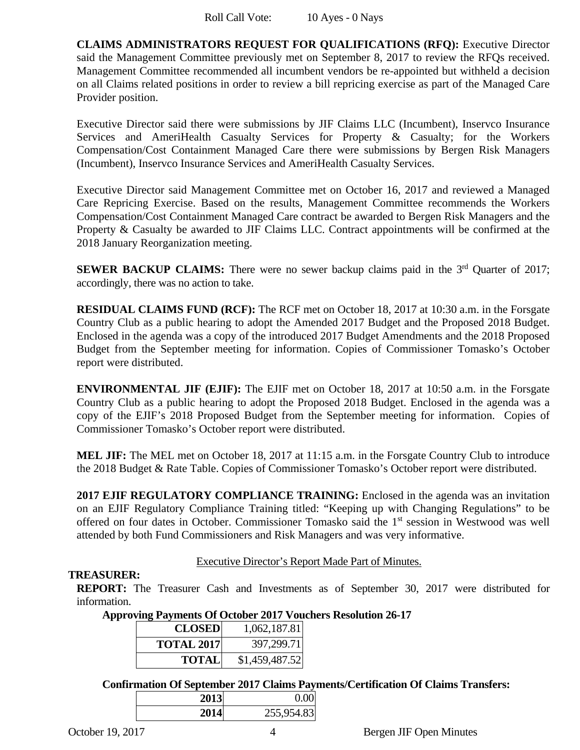**CLAIMS ADMINISTRATORS REQUEST FOR QUALIFICATIONS (RFQ):** Executive Director said the Management Committee previously met on September 8, 2017 to review the RFQs received. Management Committee recommended all incumbent vendors be re-appointed but withheld a decision on all Claims related positions in order to review a bill repricing exercise as part of the Managed Care Provider position.

Executive Director said there were submissions by JIF Claims LLC (Incumbent), Inservco Insurance Services and AmeriHealth Casualty Services for Property & Casualty; for the Workers Compensation/Cost Containment Managed Care there were submissions by Bergen Risk Managers (Incumbent), Inservco Insurance Services and AmeriHealth Casualty Services.

Executive Director said Management Committee met on October 16, 2017 and reviewed a Managed Care Repricing Exercise. Based on the results, Management Committee recommends the Workers Compensation/Cost Containment Managed Care contract be awarded to Bergen Risk Managers and the Property & Casualty be awarded to JIF Claims LLC. Contract appointments will be confirmed at the 2018 January Reorganization meeting.

**SEWER BACKUP CLAIMS:** There were no sewer backup claims paid in the 3<sup>rd</sup> Quarter of 2017; accordingly, there was no action to take.

**RESIDUAL CLAIMS FUND (RCF):** The RCF met on October 18, 2017 at 10:30 a.m. in the Forsgate Country Club as a public hearing to adopt the Amended 2017 Budget and the Proposed 2018 Budget. Enclosed in the agenda was a copy of the introduced 2017 Budget Amendments and the 2018 Proposed Budget from the September meeting for information. Copies of Commissioner Tomasko's October report were distributed.

**ENVIRONMENTAL JIF (EJIF):** The EJIF met on October 18, 2017 at 10:50 a.m. in the Forsgate Country Club as a public hearing to adopt the Proposed 2018 Budget. Enclosed in the agenda was a copy of the EJIF's 2018 Proposed Budget from the September meeting for information. Copies of Commissioner Tomasko's October report were distributed.

**MEL JIF:** The MEL met on October 18, 2017 at 11:15 a.m. in the Forsgate Country Club to introduce the 2018 Budget & Rate Table. Copies of Commissioner Tomasko's October report were distributed.

**2017 EJIF REGULATORY COMPLIANCE TRAINING:** Enclosed in the agenda was an invitation on an EJIF Regulatory Compliance Training titled: "Keeping up with Changing Regulations" to be offered on four dates in October. Commissioner Tomasko said the 1<sup>st</sup> session in Westwood was well attended by both Fund Commissioners and Risk Managers and was very informative.

# Executive Director's Report Made Part of Minutes.

# **TREASURER:**

**REPORT:** The Treasurer Cash and Investments as of September 30, 2017 were distributed for information.

**Approving Payments Of October 2017 Vouchers Resolution 26-17** 

| <b>CLOSED</b>     | 1,062,187.81   |
|-------------------|----------------|
| <b>TOTAL 2017</b> | 397,299.71     |
| <b>TOTAL</b>      | \$1,459,487.52 |

**Confirmation Of September 2017 Claims Payments/Certification Of Claims Transfers:** 

| 0 U U |            | 2013 |
|-------|------------|------|
|       | 255,954.83 | 2014 |
|       |            |      |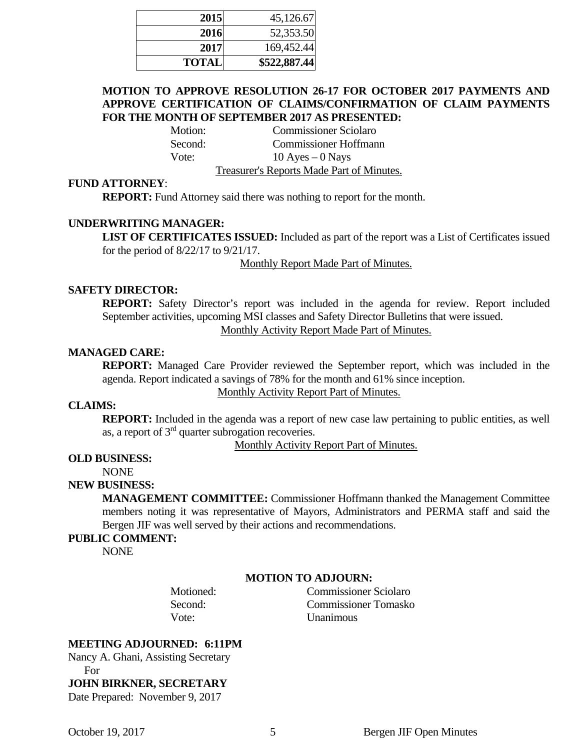| 2015         | 45,126.67    |
|--------------|--------------|
| 2016         | 52,353.50    |
| 2017         | 169,452.44   |
| <b>TOTAL</b> | \$522,887.44 |

# **MOTION TO APPROVE RESOLUTION 26-17 FOR OCTOBER 2017 PAYMENTS AND APPROVE CERTIFICATION OF CLAIMS/CONFIRMATION OF CLAIM PAYMENTS FOR THE MONTH OF SEPTEMBER 2017 AS PRESENTED:**

Motion: Commissioner Sciolaro Second: Commissioner Hoffmann Vote:  $10 \text{ Ayes} - 0 \text{ Nays}$ 

Treasurer's Reports Made Part of Minutes.

## **FUND ATTORNEY**:

**REPORT:** Fund Attorney said there was nothing to report for the month.

# **UNDERWRITING MANAGER:**

**LIST OF CERTIFICATES ISSUED:** Included as part of the report was a List of Certificates issued for the period of 8/22/17 to 9/21/17.

Monthly Report Made Part of Minutes.

#### **SAFETY DIRECTOR:**

**REPORT:** Safety Director's report was included in the agenda for review. Report included September activities, upcoming MSI classes and Safety Director Bulletins that were issued.

Monthly Activity Report Made Part of Minutes.

## **MANAGED CARE:**

**REPORT:** Managed Care Provider reviewed the September report, which was included in the agenda. Report indicated a savings of 78% for the month and 61% since inception.

Monthly Activity Report Part of Minutes.

# **CLAIMS:**

**REPORT:** Included in the agenda was a report of new case law pertaining to public entities, as well as, a report of 3rd quarter subrogation recoveries.

Monthly Activity Report Part of Minutes.

# **OLD BUSINESS:**

NONE

# **NEW BUSINESS:**

**MANAGEMENT COMMITTEE:** Commissioner Hoffmann thanked the Management Committee members noting it was representative of Mayors, Administrators and PERMA staff and said the Bergen JIF was well served by their actions and recommendations.

#### **PUBLIC COMMENT:**

NONE

### **MOTION TO ADJOURN:**

 Motioned: Commissioner Sciolaro Second: Commissioner Tomasko Vote: Unanimous

#### **MEETING ADJOURNED: 6:11PM**

Nancy A. Ghani, Assisting Secretary For

**JOHN BIRKNER, SECRETARY** 

Date Prepared: November 9, 2017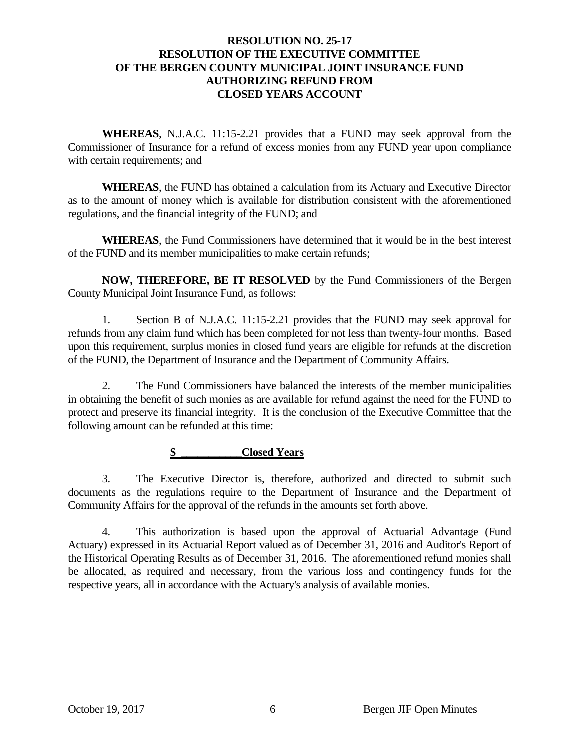# **RESOLUTION NO. 25-17 RESOLUTION OF THE EXECUTIVE COMMITTEE OF THE BERGEN COUNTY MUNICIPAL JOINT INSURANCE FUND AUTHORIZING REFUND FROM CLOSED YEARS ACCOUNT**

 **WHEREAS**, N.J.A.C. 11:15-2.21 provides that a FUND may seek approval from the Commissioner of Insurance for a refund of excess monies from any FUND year upon compliance with certain requirements; and

 **WHEREAS**, the FUND has obtained a calculation from its Actuary and Executive Director as to the amount of money which is available for distribution consistent with the aforementioned regulations, and the financial integrity of the FUND; and

 **WHEREAS**, the Fund Commissioners have determined that it would be in the best interest of the FUND and its member municipalities to make certain refunds;

 **NOW, THEREFORE, BE IT RESOLVED** by the Fund Commissioners of the Bergen County Municipal Joint Insurance Fund, as follows:

 1. Section B of N.J.A.C. 11:15-2.21 provides that the FUND may seek approval for refunds from any claim fund which has been completed for not less than twenty-four months. Based upon this requirement, surplus monies in closed fund years are eligible for refunds at the discretion of the FUND, the Department of Insurance and the Department of Community Affairs.

 2. The Fund Commissioners have balanced the interests of the member municipalities in obtaining the benefit of such monies as are available for refund against the need for the FUND to protect and preserve its financial integrity. It is the conclusion of the Executive Committee that the following amount can be refunded at this time:

# **\$ \_\_\_\_\_\_\_\_\_\_\_Closed Years**

 3. The Executive Director is, therefore, authorized and directed to submit such documents as the regulations require to the Department of Insurance and the Department of Community Affairs for the approval of the refunds in the amounts set forth above.

 4. This authorization is based upon the approval of Actuarial Advantage (Fund Actuary) expressed in its Actuarial Report valued as of December 31, 2016 and Auditor's Report of the Historical Operating Results as of December 31, 2016. The aforementioned refund monies shall be allocated, as required and necessary, from the various loss and contingency funds for the respective years, all in accordance with the Actuary's analysis of available monies.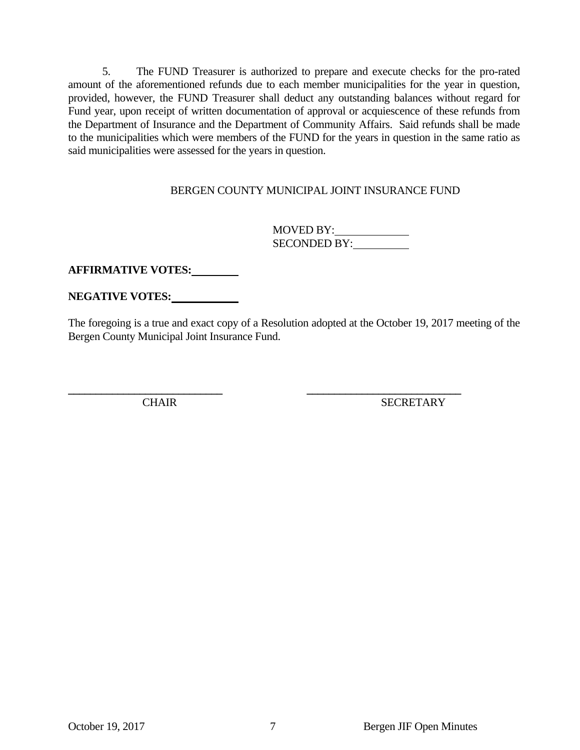5. The FUND Treasurer is authorized to prepare and execute checks for the pro-rated amount of the aforementioned refunds due to each member municipalities for the year in question, provided, however, the FUND Treasurer shall deduct any outstanding balances without regard for Fund year, upon receipt of written documentation of approval or acquiescence of these refunds from the Department of Insurance and the Department of Community Affairs. Said refunds shall be made to the municipalities which were members of the FUND for the years in question in the same ratio as said municipalities were assessed for the years in question.

# BERGEN COUNTY MUNICIPAL JOINT INSURANCE FUND

 MOVED BY: SECONDED BY:

**AFFIRMATIVE VOTES:** 

**NEGATIVE VOTES:** 

The foregoing is a true and exact copy of a Resolution adopted at the October 19, 2017 meeting of the Bergen County Municipal Joint Insurance Fund.

**\_\_\_\_\_\_\_\_\_\_\_\_\_\_\_\_\_\_\_\_\_\_\_\_\_\_\_\_ \_\_\_\_\_\_\_\_\_\_\_\_\_\_\_\_\_\_\_\_\_\_\_\_\_\_\_\_** 

CHAIR SECRETARY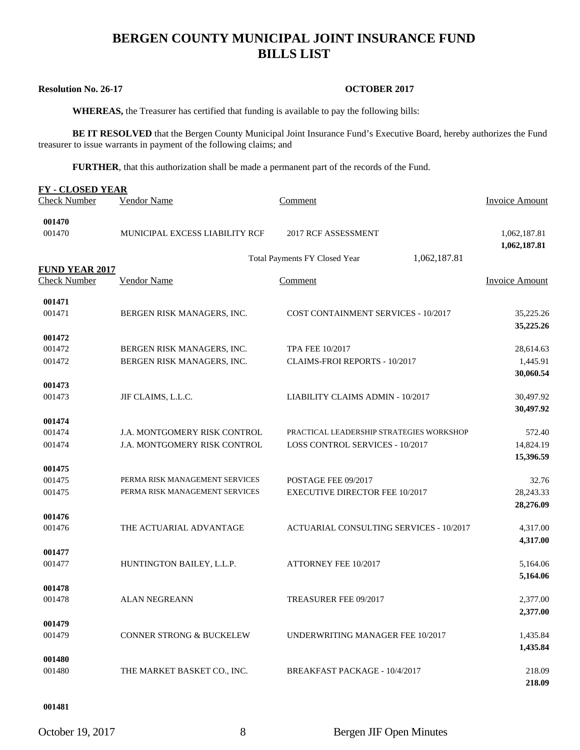# **BERGEN COUNTY MUNICIPAL JOINT INSURANCE FUND BILLS LIST**

## **Resolution No. 26-17 OCTOBER 2017**

 **WHEREAS,** the Treasurer has certified that funding is available to pay the following bills:

**BE IT RESOLVED** that the Bergen County Municipal Joint Insurance Fund's Executive Board, hereby authorizes the Fund treasurer to issue warrants in payment of the following claims; and

**FURTHER**, that this authorization shall be made a permanent part of the records of the Fund.

| <b>FY-CLOSED YEAR</b> |                                     |                                               |                              |
|-----------------------|-------------------------------------|-----------------------------------------------|------------------------------|
| <b>Check Number</b>   | Vendor Name                         | Comment                                       | Invoice Amount               |
| 001470                |                                     |                                               |                              |
| 001470                | MUNICIPAL EXCESS LIABILITY RCF      | 2017 RCF ASSESSMENT                           | 1,062,187.81<br>1,062,187.81 |
|                       |                                     | 1,062,187.81<br>Total Payments FY Closed Year |                              |
| <b>FUND YEAR 2017</b> |                                     |                                               |                              |
| <b>Check Number</b>   | <b>Vendor Name</b>                  | Comment                                       | <b>Invoice Amount</b>        |
| 001471                |                                     |                                               |                              |
| 001471                | BERGEN RISK MANAGERS, INC.          | COST CONTAINMENT SERVICES - 10/2017           | 35,225.26<br>35,225.26       |
| 001472                |                                     |                                               |                              |
| 001472                | BERGEN RISK MANAGERS, INC.          | <b>TPA FEE 10/2017</b>                        | 28,614.63                    |
| 001472                | BERGEN RISK MANAGERS, INC.          | CLAIMS-FROI REPORTS - 10/2017                 | 1,445.91                     |
|                       |                                     |                                               | 30,060.54                    |
| 001473                |                                     |                                               |                              |
| 001473                | JIF CLAIMS, L.L.C.                  | LIABILITY CLAIMS ADMIN - 10/2017              | 30,497.92                    |
|                       |                                     |                                               | 30,497.92                    |
| 001474                |                                     |                                               |                              |
| 001474                | J.A. MONTGOMERY RISK CONTROL        | PRACTICAL LEADERSHIP STRATEGIES WORKSHOP      | 572.40                       |
| 001474                | J.A. MONTGOMERY RISK CONTROL        | LOSS CONTROL SERVICES - 10/2017               | 14,824.19                    |
|                       |                                     |                                               | 15,396.59                    |
| 001475<br>001475      | PERMA RISK MANAGEMENT SERVICES      | POSTAGE FEE 09/2017                           | 32.76                        |
| 001475                | PERMA RISK MANAGEMENT SERVICES      | <b>EXECUTIVE DIRECTOR FEE 10/2017</b>         | 28,243.33                    |
|                       |                                     |                                               | 28,276.09                    |
| 001476                |                                     |                                               |                              |
| 001476                | THE ACTUARIAL ADVANTAGE             | ACTUARIAL CONSULTING SERVICES - 10/2017       | 4,317.00                     |
|                       |                                     |                                               | 4,317.00                     |
| 001477                |                                     |                                               |                              |
| 001477                | HUNTINGTON BAILEY, L.L.P.           | <b>ATTORNEY FEE 10/2017</b>                   | 5,164.06                     |
|                       |                                     |                                               | 5,164.06                     |
| 001478                |                                     |                                               |                              |
| 001478                | <b>ALAN NEGREANN</b>                | TREASURER FEE 09/2017                         | 2,377.00                     |
|                       |                                     |                                               | 2,377.00                     |
| 001479                |                                     |                                               |                              |
| 001479                | <b>CONNER STRONG &amp; BUCKELEW</b> | UNDERWRITING MANAGER FEE 10/2017              | 1,435.84                     |
|                       |                                     |                                               | 1,435.84                     |
| 001480<br>001480      | THE MARKET BASKET CO., INC.         | BREAKFAST PACKAGE - 10/4/2017                 | 218.09                       |
|                       |                                     |                                               | 218.09                       |
|                       |                                     |                                               |                              |

#### **001481**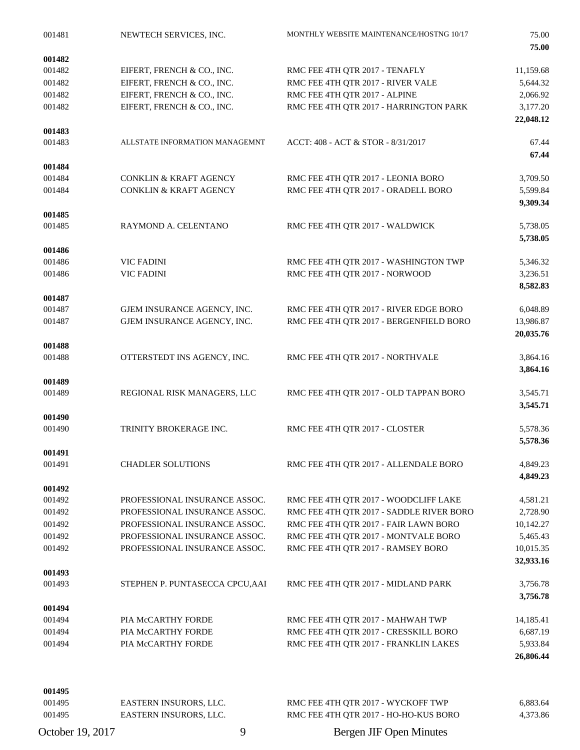| 001481 | NEWTECH SERVICES, INC.            | MONTHLY WEBSITE MAINTENANCE/HOSTNG 10/17 | 75.00<br>75.00       |
|--------|-----------------------------------|------------------------------------------|----------------------|
| 001482 |                                   |                                          |                      |
| 001482 | EIFERT, FRENCH & CO., INC.        | RMC FEE 4TH QTR 2017 - TENAFLY           | 11,159.68            |
| 001482 | EIFERT, FRENCH & CO., INC.        | RMC FEE 4TH QTR 2017 - RIVER VALE        | 5,644.32             |
| 001482 | EIFERT, FRENCH & CO., INC.        | RMC FEE 4TH QTR 2017 - ALPINE            | 2,066.92             |
| 001482 | EIFERT, FRENCH & CO., INC.        | RMC FEE 4TH QTR 2017 - HARRINGTON PARK   | 3,177.20             |
|        |                                   |                                          | 22,048.12            |
| 001483 | ALLSTATE INFORMATION MANAGEMNT    |                                          |                      |
| 001483 |                                   | ACCT: 408 - ACT & STOR - 8/31/2017       | 67.44<br>67.44       |
| 001484 |                                   |                                          |                      |
| 001484 | <b>CONKLIN &amp; KRAFT AGENCY</b> | RMC FEE 4TH QTR 2017 - LEONIA BORO       | 3,709.50             |
| 001484 | CONKLIN & KRAFT AGENCY            | RMC FEE 4TH QTR 2017 - ORADELL BORO      | 5,599.84             |
|        |                                   |                                          | 9,309.34             |
| 001485 |                                   |                                          |                      |
| 001485 | RAYMOND A. CELENTANO              | RMC FEE 4TH QTR 2017 - WALDWICK          | 5,738.05             |
| 001486 |                                   |                                          | 5,738.05             |
| 001486 | <b>VIC FADINI</b>                 | RMC FEE 4TH QTR 2017 - WASHINGTON TWP    | 5,346.32             |
| 001486 | <b>VIC FADINI</b>                 | RMC FEE 4TH QTR 2017 - NORWOOD           | 3,236.51             |
|        |                                   |                                          | 8,582.83             |
| 001487 |                                   |                                          |                      |
| 001487 | GJEM INSURANCE AGENCY, INC.       | RMC FEE 4TH QTR 2017 - RIVER EDGE BORO   | 6,048.89             |
| 001487 | GJEM INSURANCE AGENCY, INC.       | RMC FEE 4TH QTR 2017 - BERGENFIELD BORO  | 13,986.87            |
|        |                                   |                                          | 20,035.76            |
| 001488 |                                   |                                          |                      |
| 001488 | OTTERSTEDT INS AGENCY, INC.       | RMC FEE 4TH QTR 2017 - NORTHVALE         | 3,864.16<br>3,864.16 |
| 001489 |                                   |                                          |                      |
| 001489 | REGIONAL RISK MANAGERS, LLC       | RMC FEE 4TH QTR 2017 - OLD TAPPAN BORO   | 3,545.71             |
|        |                                   |                                          | 3,545.71             |
| 001490 |                                   |                                          |                      |
| 001490 | TRINITY BROKERAGE INC.            | RMC FEE 4TH QTR 2017 - CLOSTER           | 5,578.36             |
|        |                                   |                                          | 5,578.36             |
| 001491 |                                   |                                          |                      |
| 001491 | <b>CHADLER SOLUTIONS</b>          | RMC FEE 4TH QTR 2017 - ALLENDALE BORO    | 4,849.23<br>4,849.23 |
| 001492 |                                   |                                          |                      |
| 001492 | PROFESSIONAL INSURANCE ASSOC.     | RMC FEE 4TH QTR 2017 - WOODCLIFF LAKE    | 4,581.21             |
| 001492 | PROFESSIONAL INSURANCE ASSOC.     | RMC FEE 4TH QTR 2017 - SADDLE RIVER BORO | 2,728.90             |
| 001492 | PROFESSIONAL INSURANCE ASSOC.     | RMC FEE 4TH QTR 2017 - FAIR LAWN BORO    | 10,142.27            |
| 001492 | PROFESSIONAL INSURANCE ASSOC.     | RMC FEE 4TH QTR 2017 - MONTVALE BORO     | 5,465.43             |
| 001492 | PROFESSIONAL INSURANCE ASSOC.     | RMC FEE 4TH QTR 2017 - RAMSEY BORO       | 10,015.35            |
|        |                                   |                                          | 32,933.16            |
| 001493 |                                   |                                          |                      |
| 001493 | STEPHEN P. PUNTASECCA CPCU, AAI   | RMC FEE 4TH QTR 2017 - MIDLAND PARK      | 3,756.78             |
|        |                                   |                                          | 3,756.78             |
| 001494 |                                   |                                          |                      |
| 001494 | PIA McCARTHY FORDE                | RMC FEE 4TH QTR 2017 - MAHWAH TWP        | 14,185.41            |
| 001494 | PIA McCARTHY FORDE                | RMC FEE 4TH QTR 2017 - CRESSKILL BORO    | 6,687.19             |
| 001494 | PIA McCARTHY FORDE                | RMC FEE 4TH QTR 2017 - FRANKLIN LAKES    | 5,933.84             |
|        |                                   |                                          | 26,806.44            |
| 001495 |                                   |                                          |                      |
| 001495 | EASTERN INSURORS, LLC.            | RMC FEE 4TH QTR 2017 - WYCKOFF TWP       | 6,883.64             |
| 001495 | EASTERN INSURORS, LLC.            | RMC FEE 4TH QTR 2017 - HO-HO-KUS BORO    | 4,373.86             |
|        |                                   |                                          |                      |

October 19, 2017 9 Bergen JIF Open Minutes